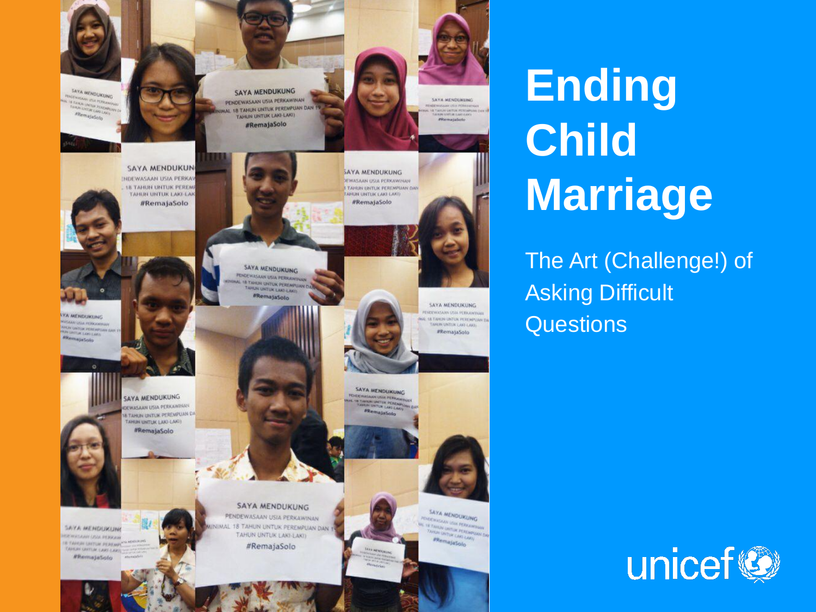

**Ending Child Marriage**

The Art (Challenge!) of Asking Difficult **Questions** 

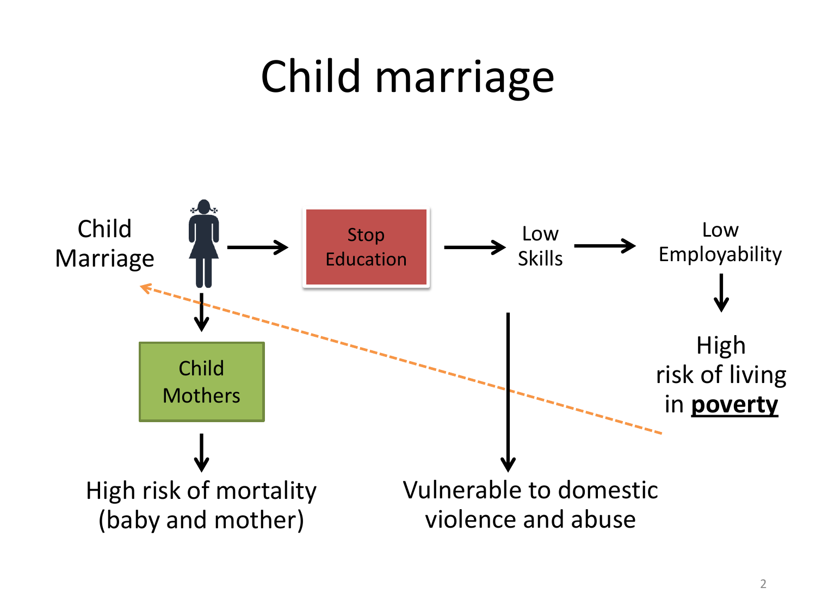## Child marriage

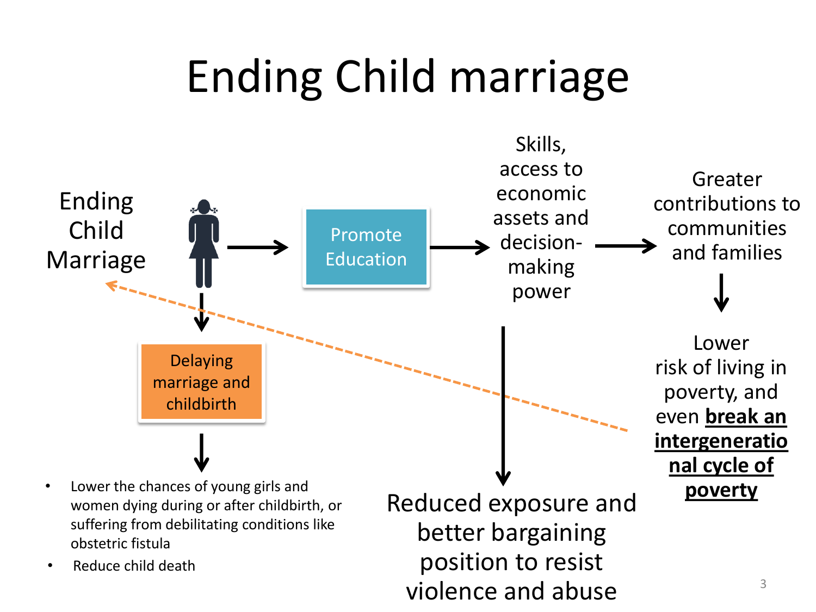# Ending Child marriage

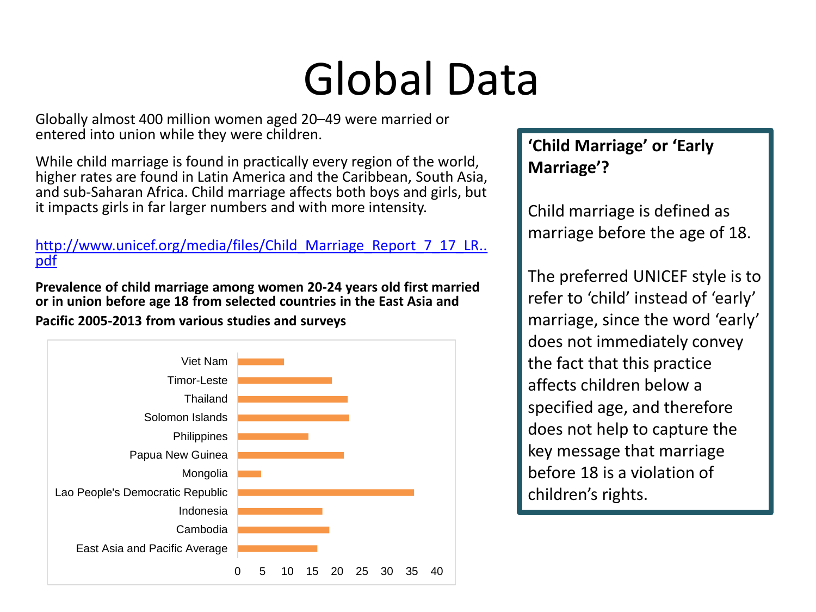# Global Data

Globally almost 400 million women aged 20–49 were married or entered into union while they were children.

While child marriage is found in practically every region of the world, higher rates are found in Latin America and the Caribbean, South Asia, and sub-Saharan Africa. Child marriage affects both boys and girls, but it impacts girls in far larger numbers and with more intensity.

[http://www.unicef.org/media/files/Child\\_Marriage\\_Report\\_7\\_17\\_LR..](http://www.unicef.org/media/files/Child_Marriage_Report_7_17_LR..pdf) [pdf](http://www.unicef.org/media/files/Child_Marriage_Report_7_17_LR..pdf)

**Prevalence of child marriage among women 20-24 years old first married or in union before age 18 from selected countries in the East Asia and** 

**Pacific 2005-2013 from various studies and surveys**



#### **'Child Marriage' or 'Early Marriage'?**

Child marriage is defined as marriage before the age of 18.

The preferred UNICEF style is to refer to 'child' instead of 'early' marriage, since the word 'early' does not immediately convey the fact that this practice affects children below a specified age, and therefore does not help to capture the key message that marriage before 18 is a violation of children's rights.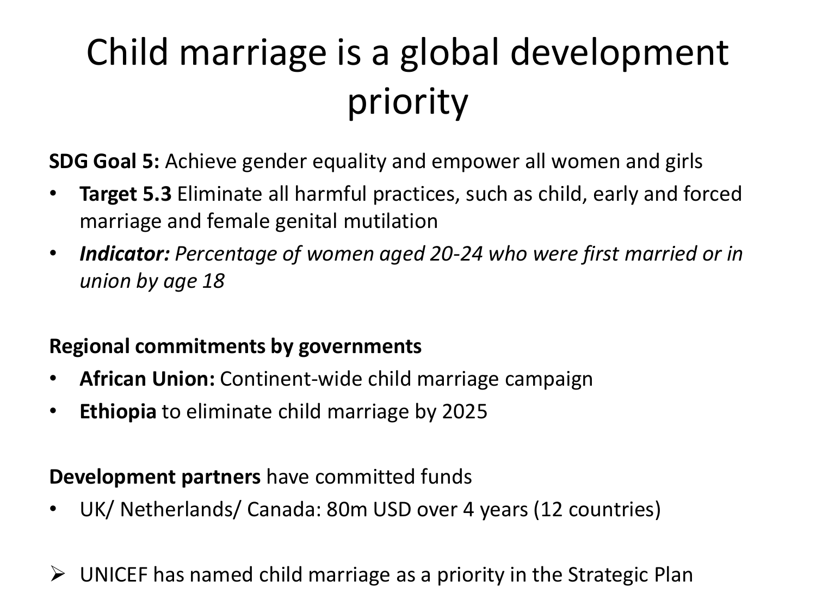### Child marriage is a global development priority

**SDG Goal 5:** Achieve gender equality and empower all women and girls

- **Target 5.3** Eliminate all harmful practices, such as child, early and forced marriage and female genital mutilation
- *Indicator: Percentage of women aged 20-24 who were first married or in union by age 18*

#### **Regional commitments by governments**

- **African Union:** Continent-wide child marriage campaign
- **Ethiopia** to eliminate child marriage by 2025

#### **Development partners** have committed funds

• UK/ Netherlands/ Canada: 80m USD over 4 years (12 countries)

 $\triangleright$  UNICEF has named child marriage as a priority in the Strategic Plan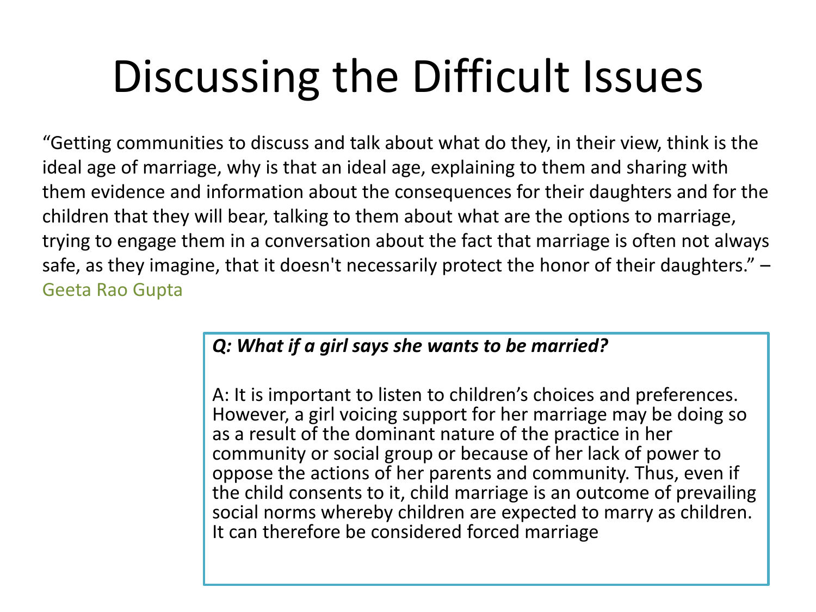# Discussing the Difficult Issues

"Getting communities to discuss and talk about what do they, in their view, think is the ideal age of marriage, why is that an ideal age, explaining to them and sharing with them evidence and information about the consequences for their daughters and for the children that they will bear, talking to them about what are the options to marriage, trying to engage them in a conversation about the fact that marriage is often not always safe, as they imagine, that it doesn't necessarily protect the honor of their daughters." -Geeta Rao Gupta

#### *Q: What if a girl says she wants to be married?*

A: It is important to listen to children's choices and preferences. However, a girl voicing support for her marriage may be doing so as a result of the dominant nature of the practice in her community or social group or because of her lack of power to oppose the actions of her parents and community. Thus, even if the child consents to it, child marriage is an outcome of prevailing social norms whereby children are expected to marry as children. It can therefore be considered forced marriage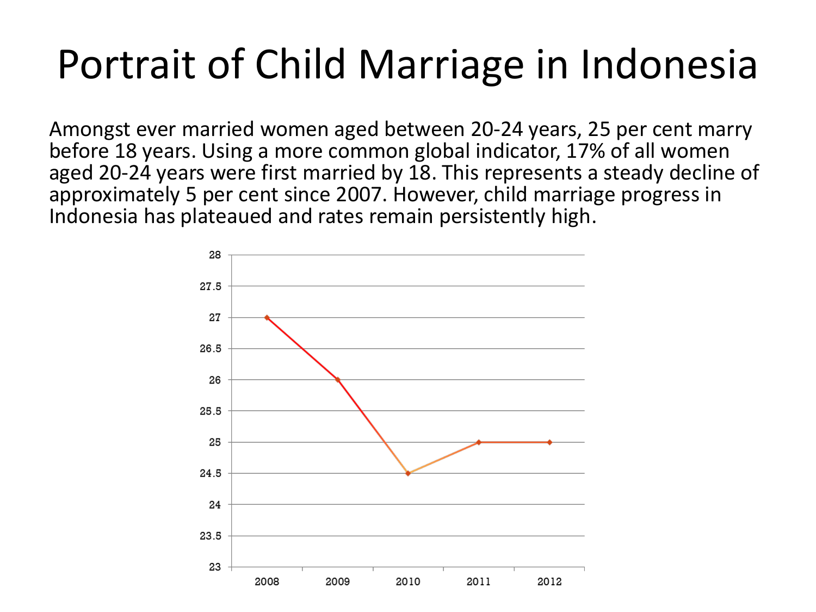Amongst ever married women aged between 20-24 years, 25 per cent marry before 18 years. Using a more common global indicator, 17% of all women aged 20-24 years were first married by 18. This represents a steady decline of approximately 5 per cent since 2007. However, child marriage progress in Indonesia has plateaued and rates remain persistently high.

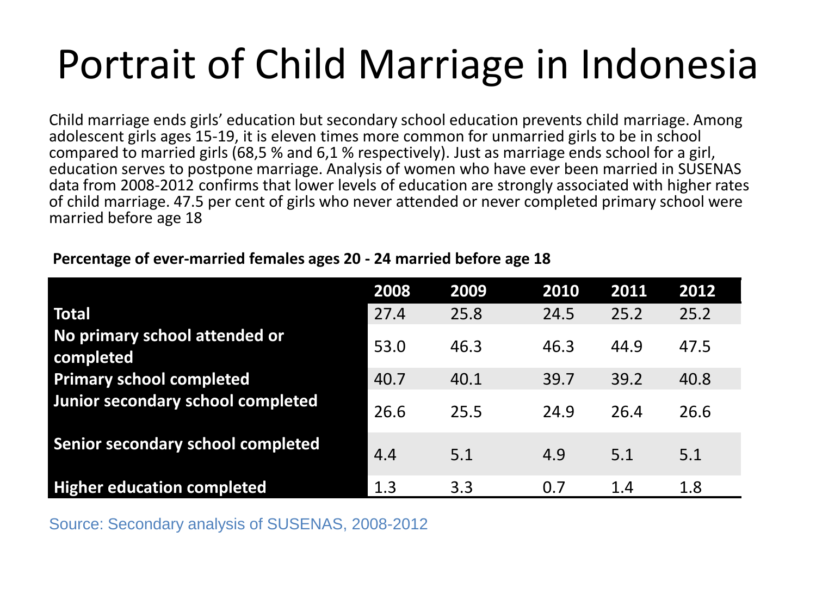Child marriage ends girls' education but secondary school education prevents child marriage. Among adolescent girls ages 15-19, it is eleven times more common for unmarried girls to be in school compared to married girls (68,5 % and 6,1 % respectively). Just as marriage ends school for a girl, education serves to postpone marriage. Analysis of women who have ever been married in SUSENAS data from 2008-2012 confirms that lower levels of education are strongly associated with higher rates of child marriage. 47.5 per cent of girls who never attended or never completed primary school were married before age 18

#### **2008 2009 2010 2011 2012 Total** 27.4 25.8 24.5 25.2 25.2 **No primary school attended or completed** 53.0 46.3 46.3 44.9 47.5 **Primary school completed** 40.7 40.1 39.7 39.2 40.8 **Junior secondary school completed** 26.6 25.5 24.9 26.4 26.6 **Senior secondary school completed** 4.4 5.1 4.9 5.1 5.1 5.1 **Higher education completed** 1.3 3.3 0.7 1.4 1.8

#### **Percentage of ever-married females ages 20 - 24 married before age 18**

Source: Secondary analysis of SUSENAS, 2008-2012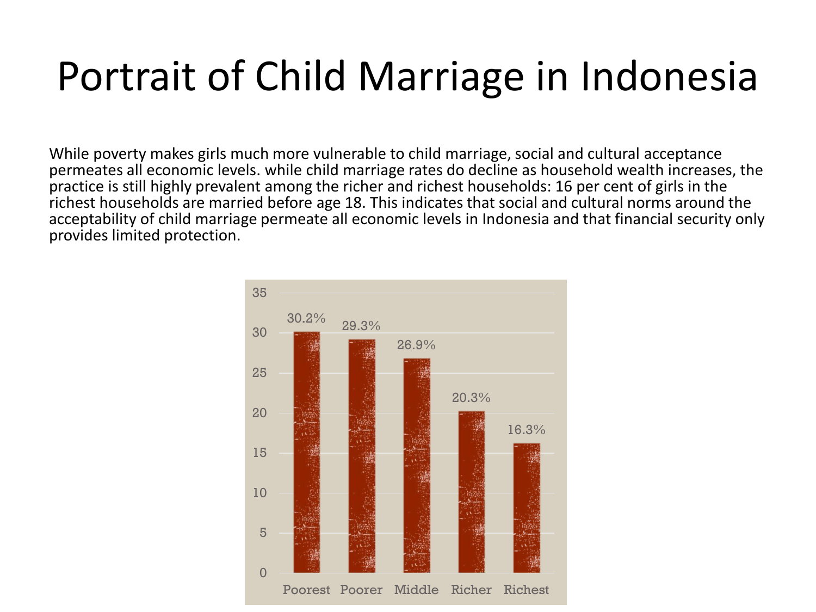While poverty makes girls much more vulnerable to child marriage, social and cultural acceptance permeates all economic levels. while child marriage rates do decline as household wealth increases, the practice is still highly prevalent among the richer and richest households: 16 per cent of girls in the richest households are married before age 18. This indicates that social and cultural norms around the acceptability of child marriage permeate all economic levels in Indonesia and that financial security only provides limited protection.

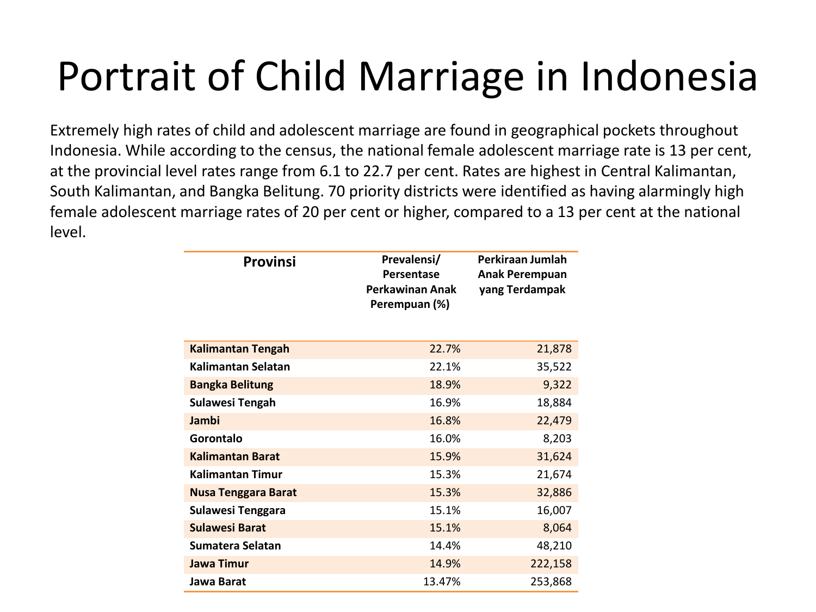Extremely high rates of child and adolescent marriage are found in geographical pockets throughout Indonesia. While according to the census, the national female adolescent marriage rate is 13 per cent, at the provincial level rates range from 6.1 to 22.7 per cent. Rates are highest in Central Kalimantan, South Kalimantan, and Bangka Belitung. 70 priority districts were identified as having alarmingly high female adolescent marriage rates of 20 per cent or higher, compared to a 13 per cent at the national level.

| <b>Provinsi</b>            | Prevalensi/<br>Persentase<br><b>Perkawinan Anak</b><br>Perempuan (%) | Perkiraan Jumlah<br><b>Anak Perempuan</b><br>yang Terdampak |
|----------------------------|----------------------------------------------------------------------|-------------------------------------------------------------|
| <b>Kalimantan Tengah</b>   | 22.7%                                                                | 21,878                                                      |
| Kalimantan Selatan         | 22.1%                                                                | 35,522                                                      |
| <b>Bangka Belitung</b>     | 18.9%                                                                | 9,322                                                       |
| <b>Sulawesi Tengah</b>     | 16.9%                                                                | 18,884                                                      |
| Jambi                      | 16.8%                                                                | 22,479                                                      |
| Gorontalo                  | 16.0%                                                                | 8,203                                                       |
| <b>Kalimantan Barat</b>    | 15.9%                                                                | 31,624                                                      |
| <b>Kalimantan Timur</b>    | 15.3%                                                                | 21,674                                                      |
| <b>Nusa Tenggara Barat</b> | 15.3%                                                                | 32,886                                                      |
| Sulawesi Tenggara          | 15.1%                                                                | 16,007                                                      |
| <b>Sulawesi Barat</b>      | 15.1%                                                                | 8,064                                                       |
| Sumatera Selatan           | 14.4%                                                                | 48,210                                                      |
| <b>Jawa Timur</b>          | 14.9%                                                                | 222,158                                                     |
| Jawa Barat                 | 13.47%                                                               | 253,868                                                     |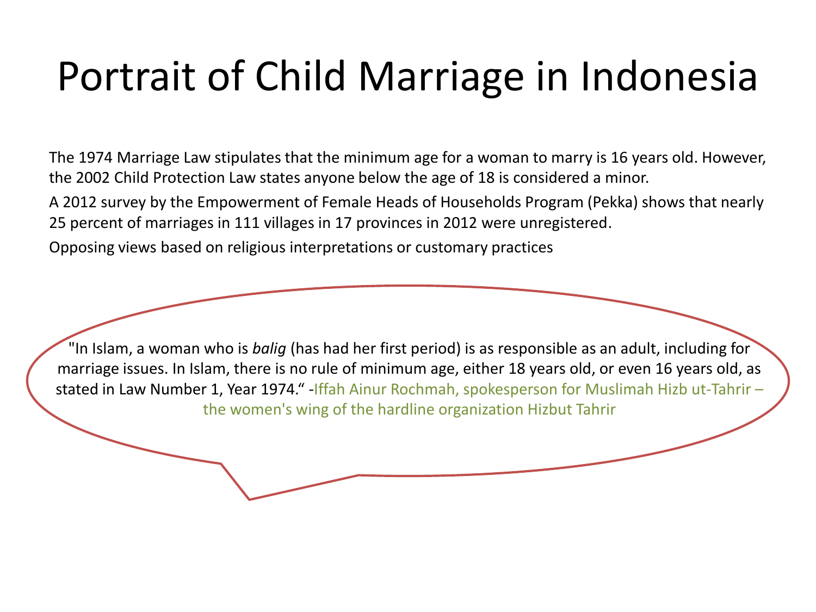The 1974 Marriage Law stipulates that the minimum age for a woman to marry is 16 years old. However, the 2002 Child Protection Law states anyone below the age of 18 is considered a minor.

A 2012 survey by the Empowerment of Female Heads of Households Program (Pekka) shows that nearly 25 percent of marriages in 111 villages in 17 provinces in 2012 were unregistered.

Opposing views based on religious interpretations or customary practices

"In Islam, a woman who is *balig* (has had her first period) is as responsible as an adult, including for marriage issues. In Islam, there is no rule of minimum age, either 18 years old, or even 16 years old, as stated in Law Number 1, Year 1974." -Iffah Ainur Rochmah, spokesperson for Muslimah Hizb ut-Tahrir – the women's wing of the hardline organization Hizbut Tahrir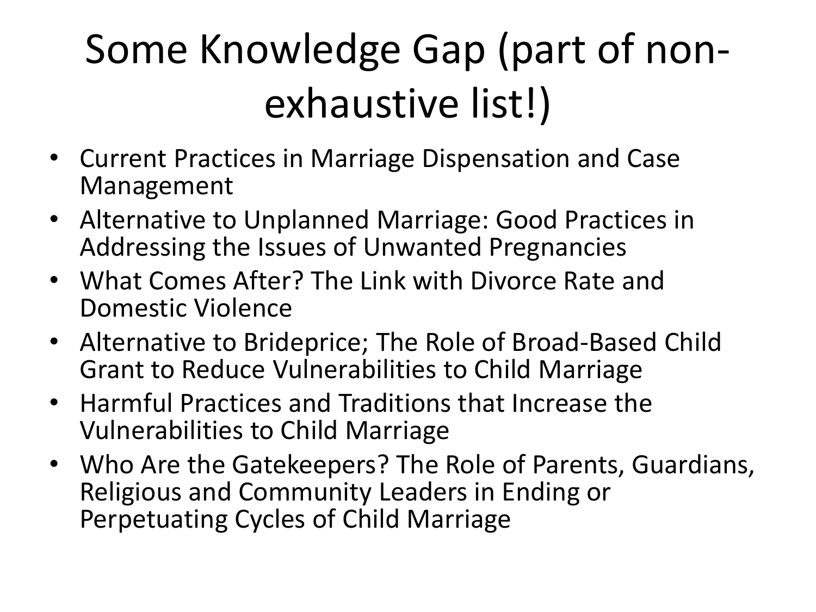## Some Knowledge Gap (part of nonexhaustive list!)

- Current Practices in Marriage Dispensation and Case Management
- Alternative to Unplanned Marriage: Good Practices in Addressing the Issues of Unwanted Pregnancies
- What Comes After? The Link with Divorce Rate and Domestic Violence
- Alternative to Brideprice; The Role of Broad-Based Child Grant to Reduce Vulnerabilities to Child Marriage
- Harmful Practices and Traditions that Increase the Vulnerabilities to Child Marriage
- Who Are the Gatekeepers? The Role of Parents, Guardians, Religious and Community Leaders in Ending or Perpetuating Cycles of Child Marriage